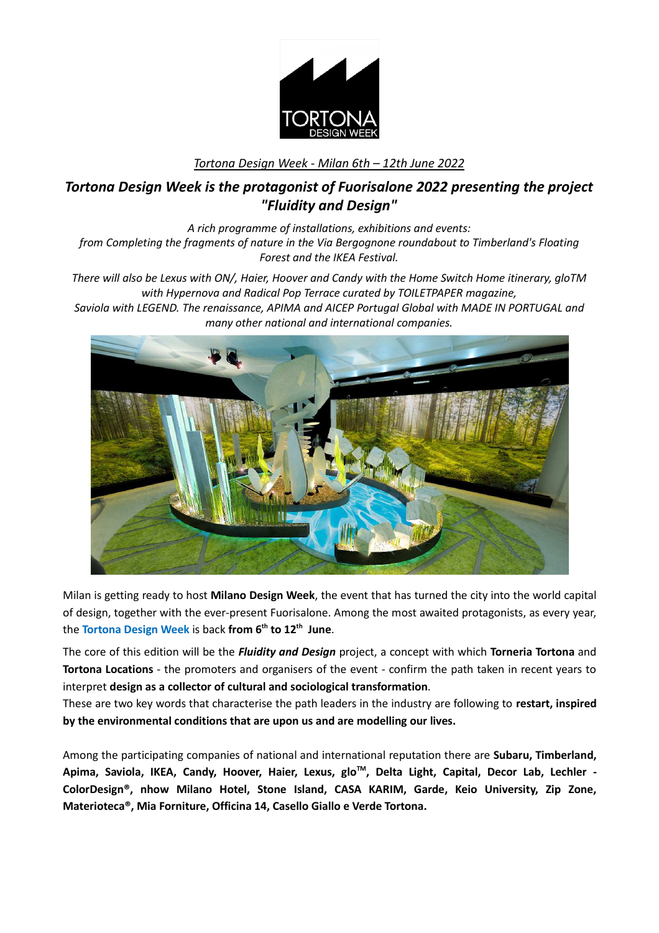

## *Tortona Design Week - Milan 6th – 12th June 2022*

# *Tortona Design Week is the protagonist of Fuorisalone 2022 presenting the project "Fluidity and Design"*

*A rich programme of installations, exhibitions and events: from Completing the fragments of nature in the Via Bergognone roundabout to Timberland's Floating Forest and the IKEA Festival.*

*There will also be Lexus with ON/, Haier, Hoover and Candy with the Home Switch Home itinerary, gloTM with Hypernova and Radical Pop Terrace curated by TOILETPAPER magazine,*

*Saviola with LEGEND. The renaissance, APIMA and AICEP Portugal Global with MADE IN PORTUGAL and many other national and international companies.*



Milan is getting ready to host **Milano Design Week**, the event that has turned the city into the world capital of design, together with the ever-present Fuorisalone. Among the most awaited protagonists, as every year, the **Tortona Design Week** is back **from 6th to 12th June**.

The core of this edition will be the *Fluidity and Design* project, a concept with which **Torneria Tortona** and **Tortona Locations** - the promoters and organisers of the event - confirm the path taken in recent years to interpret **design as a collector of cultural and sociological transformation**.

These are two key words that characterise the path leaders in the industry are following to **restart, inspired by the environmental conditions that are upon us and are modelling our lives.** 

Among the participating companies of national and international reputation there are **Subaru, Timberland, Apima, Saviola, IKEA, Candy, Hoover, Haier, Lexus, gloTM, Delta Light, Capital, Decor Lab, Lechler - ColorDesign®, nhow Milano Hotel, Stone Island, CASA KARIM, Garde, Keio University, Zip Zone, Materioteca®, Mia Forniture, Officina 14, Casello Giallo e Verde Tortona.**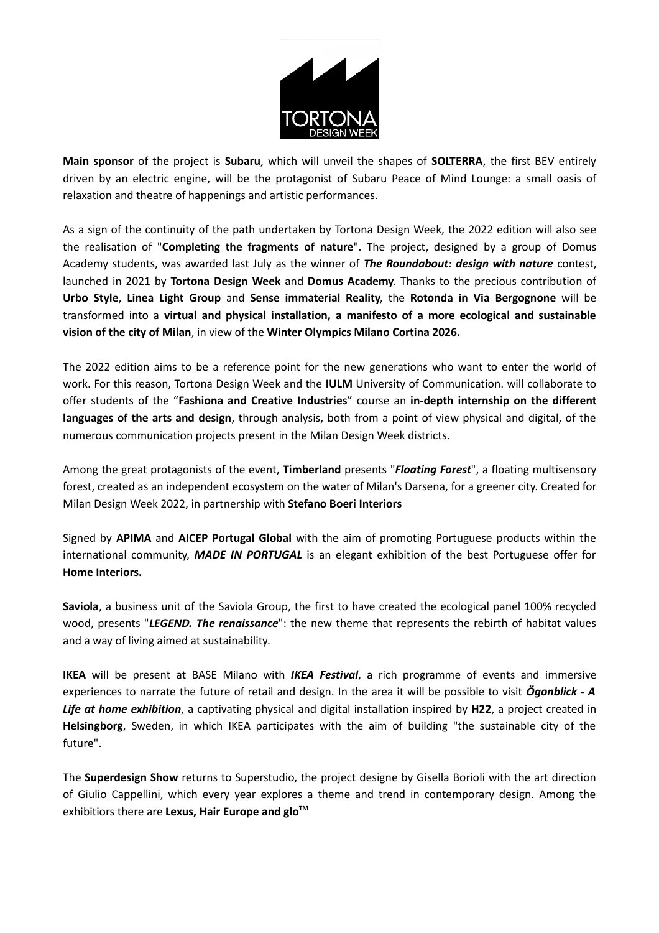

**Main sponsor** of the project is **Subaru**, which will unveil the shapes of **SOLTERRA**, the first BEV entirely driven by an electric engine, will be the protagonist of Subaru Peace of Mind Lounge: a small oasis of relaxation and theatre of happenings and artistic performances.

As a sign of the continuity of the path undertaken by Tortona Design Week, the 2022 edition will also see the realisation of "**Completing the fragments of nature**". The project, designed by a group of Domus Academy students, was awarded last July as the winner of *The Roundabout: design with nature* contest, launched in 2021 by **Tortona Design Week** and **Domus Academy**. Thanks to the precious contribution of **Urbo Style**, **Linea Light Group** and **Sense immaterial Reality**, the **Rotonda in Via Bergognone** will be transformed into a **virtual and physical installation, a manifesto of a more ecological and sustainable vision of the city of Milan**, in view of the **Winter Olympics Milano Cortina 2026.**

The 2022 edition aims to be a reference point for the new generations who want to enter the world of work. For this reason, Tortona Design Week and the **IULM** University of Communication. will collaborate to offer students of the "**Fashiona and Creative Industries**" course an **in-depth internship on the different languages of the arts and design**, through analysis, both from a point of view physical and digital, of the numerous communication projects present in the Milan Design Week districts.

Among the great protagonists of the event, **Timberland** presents "*Floating Forest*", a floating multisensory forest, created as an independent ecosystem on the water of Milan's Darsena, for a greener city. Created for Milan Design Week 2022, in partnership with **Stefano Boeri Interiors**

Signed by **APIMA** and **AICEP Portugal Global** with the aim of promoting Portuguese products within the international community, *MADE IN PORTUGAL* is an elegant exhibition of the best Portuguese offer for **Home Interiors.**

**Saviola**, a business unit of the Saviola Group, the first to have created the ecological panel 100% recycled wood, presents "*LEGEND. The renaissance*": the new theme that represents the rebirth of habitat values and a way of living aimed at sustainability.

**IKEA** will be present at BASE Milano with *IKEA Festival*, a rich programme of events and immersive experiences to narrate the future of retail and design. In the area it will be possible to visit *Ögonblick - A Life at home exhibition*, a captivating physical and digital installation inspired by **H22**, a project created in **Helsingborg**, Sweden, in which IKEA participates with the aim of building "the sustainable city of the future".

The **Superdesign Show** returns to Superstudio, the project designe by Gisella Borioli with the art direction of Giulio Cappellini, which every year explores a theme and trend in contemporary design. Among the exhibitiors there are **Lexus, Hair Europe and gloTM**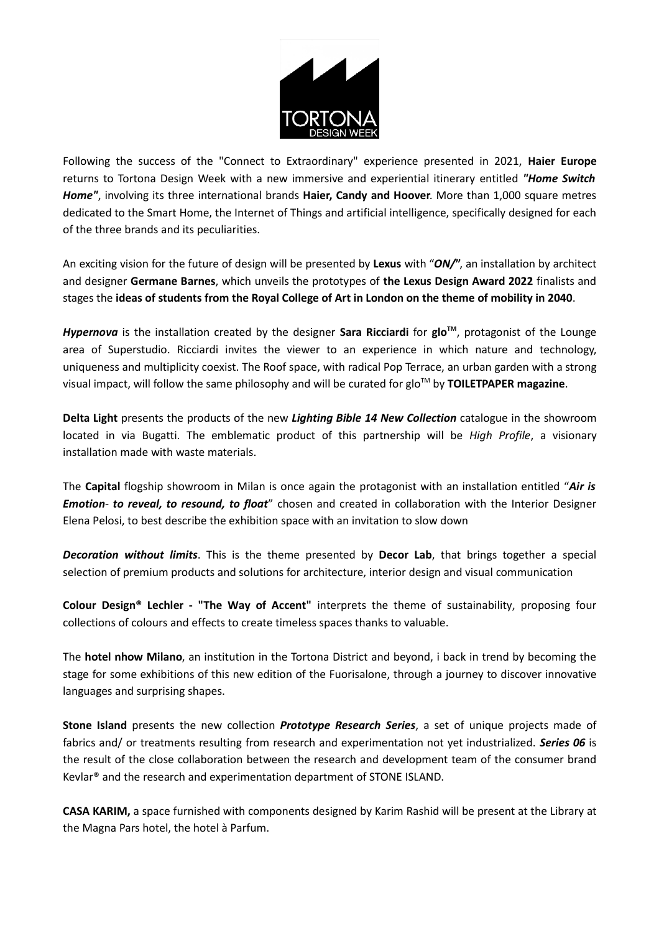

Following the success of the "Connect to Extraordinary" experience presented in 2021, **Haier Europe** returns to Tortona Design Week with a new immersive and experiential itinerary entitled *"Home Switch Home"*, involving its three international brands **Haier, Candy and Hoover**. More than 1,000 square metres dedicated to the Smart Home, the Internet of Things and artificial intelligence, specifically designed for each of the three brands and its peculiarities.

An exciting vision for the future of design will be presented by **Lexus** with "*ON/***"**, an installation by architect and designer **Germane Barnes**, which unveils the prototypes of **the Lexus Design Award 2022** finalists and stages the **ideas of students from the Royal College of Art in London on the theme of mobility in 2040**.

*Hypernova* is the installation created by the designer **Sara Ricciardi** for **gloTM**, protagonist of the Lounge area of Superstudio. Ricciardi invites the viewer to an experience in which nature and technology, uniqueness and multiplicity coexist. The Roof space, with radical Pop Terrace, an urban garden with a strong visual impact, will follow the same philosophy and will be curated for glo™ by **TOILETPAPER magazine**.

**Delta Light** presents the products of the new *Lighting Bible 14 New Collection* catalogue in the showroom located in via Bugatti. The emblematic product of this partnership will be *High Profile*, a visionary installation made with waste materials.

The **Capital** flogship showroom in Milan is once again the protagonist with an installation entitled "*Air is Emotion- to reveal, to resound, to float*" chosen and created in collaboration with the Interior Designer Elena Pelosi, to best describe the exhibition space with an invitation to slow down

*Decoration without limits*. This is the theme presented by **Decor Lab**, that brings together a special selection of premium products and solutions for architecture, interior design and visual communication

**Colour Design® Lechler - "The Way of Accent"** interprets the theme of sustainability, proposing four collections of colours and effects to create timeless spaces thanks to valuable.

The **hotel nhow Milano**, an institution in the Tortona District and beyond, i back in trend by becoming the stage for some exhibitions of this new edition of the Fuorisalone, through a journey to discover innovative languages and surprising shapes.

**Stone Island** presents the new collection *Prototype Research Series*, a set of unique projects made of fabrics and/ or treatments resulting from research and experimentation not yet industrialized. *Series 06* is the result of the close collaboration between the research and development team of the consumer brand Kevlar® and the research and experimentation department of STONE ISLAND.

**CASA KARIM,** a space furnished with components designed by Karim Rashid will be present at the Library at the Magna Pars hotel, the hotel à Parfum.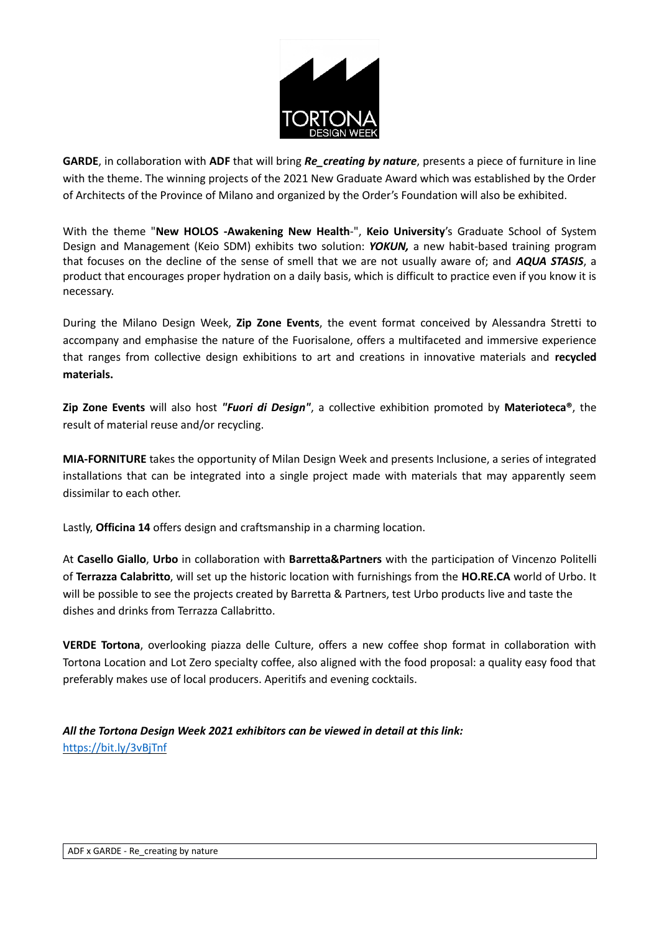

**GARDE**, in collaboration with **ADF** that will bring *Re\_creating by nature*, presents a piece of furniture in line with the theme. The winning projects of the 2021 New Graduate Award which was established by the Order of Architects of the Province of Milano and organized by the Order's Foundation will also be exhibited.

With the theme "**New HOLOS -Awakening New Health**-", **Keio University**'s Graduate School of System Design and Management (Keio SDM) exhibits two solution: *YOKUN,* a new habit-based training program that focuses on the decline of the sense of smell that we are not usually aware of; and *AQUA STASIS*, a product that encourages proper hydration on a daily basis, which is difficult to practice even if you know it is necessary.

During the Milano Design Week, **Zip Zone Events**, the event format conceived by Alessandra Stretti to accompany and emphasise the nature of the Fuorisalone, offers a multifaceted and immersive experience that ranges from collective design exhibitions to art and creations in innovative materials and **recycled materials.**

**Zip Zone Events** will also host *"Fuori di Design"*, a collective exhibition promoted by **Materioteca®**, the result of material reuse and/or recycling.

**MIA-FORNITURE** takes the opportunity of Milan Design Week and presents Inclusione, a series of integrated installations that can be integrated into a single project made with materials that may apparently seem dissimilar to each other.

Lastly, **Officina 14** offers design and craftsmanship in a charming location.

At **Casello Giallo**, **Urbo** in collaboration with **Barretta&Partners** with the participation of Vincenzo Politelli of **Terrazza Calabritto**, will set up the historic location with furnishings from the **HO.RE.CA** world of Urbo. It will be possible to see the projects created by Barretta & Partners, test Urbo products live and taste the dishes and drinks from Terrazza Callabritto.

**VERDE Tortona**, overlooking piazza delle Culture, offers a new coffee shop format in collaboration with Tortona Location and Lot Zero specialty coffee, also aligned with the food proposal: a quality easy food that preferably makes use of local producers. Aperitifs and evening cocktails.

*All the Tortona Design Week 2021 exhibitors can be viewed in detail at this link:*  https://bit.ly/3vBjTnf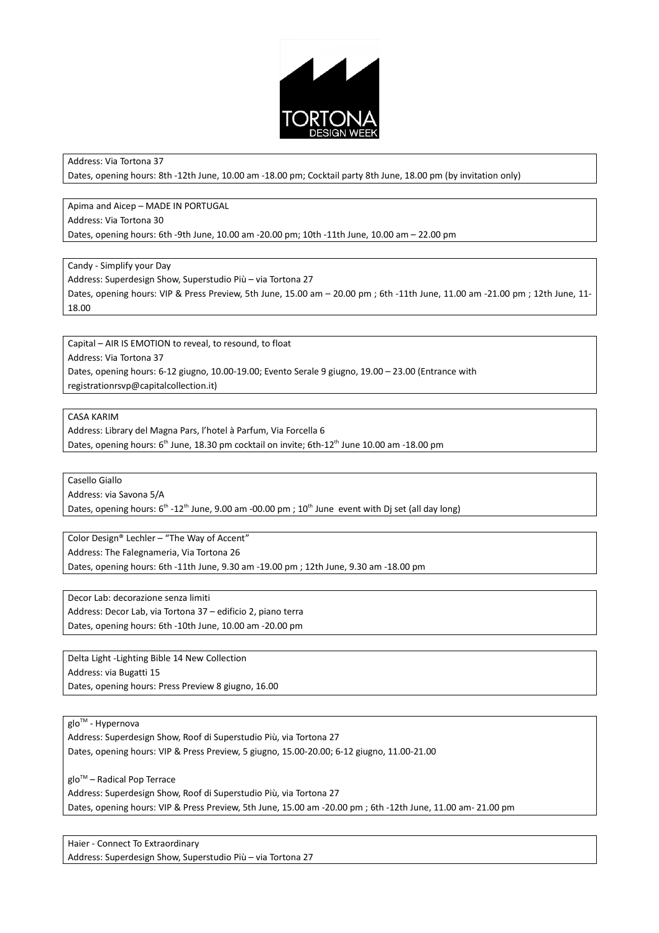

Address: Via Tortona 37

Dates, opening hours: 8th -12th June, 10.00 am -18.00 pm; Cocktail party 8th June, 18.00 pm (by invitation only)

Apima and Aicep – MADE IN PORTUGAL Address: Via Tortona 30 Dates, opening hours: 6th -9th June, 10.00 am -20.00 pm; 10th -11th June, 10.00 am – 22.00 pm

Candy - Simplify your Day

Address: Superdesign Show, Superstudio Più – via Tortona 27

Dates, opening hours: VIP & Press Preview, 5th June, 15.00 am – 20.00 pm ; 6th -11th June, 11.00 am -21.00 pm ; 12th June, 11- 18.00

Capital – AIR IS EMOTION to reveal, to resound, to float Address: Via Tortona 37 Dates, opening hours: 6-12 giugno, 10.00-19.00; Evento Serale 9 giugno, 19.00 – 23.00 (Entrance with registrationrsvp@capitalcollection.it)

#### CASA KARIM

Address: Library del Magna Pars, l'hotel à Parfum, Via Forcella 6 Dates, opening hours: 6<sup>th</sup> June, 18.30 pm cocktail on invite; 6th-12<sup>th</sup> June 10.00 am -18.00 pm

Casello Giallo

Address: via Savona 5/A

Dates, opening hours: 6<sup>th</sup> -12<sup>th</sup> June, 9.00 am -00.00 pm ; 10<sup>th</sup> June event with Dj set (all day long)

Color Design® Lechler – "The Way of Accent" Address: The Falegnameria, Via Tortona 26

Dates, opening hours: 6th -11th June, 9.30 am -19.00 pm ; 12th June, 9.30 am -18.00 pm

Decor Lab: decorazione senza limiti Address: Decor Lab, via Tortona 37 – edificio 2, piano terra Dates, opening hours: 6th -10th June, 10.00 am -20.00 pm

Delta Light -Lighting Bible 14 New Collection Address: via Bugatti 15 Dates, opening hours: Press Preview 8 giugno, 16.00

glo<sup>™</sup> - Hypernova

Address: Superdesign Show, Roof di Superstudio Più, via Tortona 27 Dates, opening hours: VIP & Press Preview, 5 giugno, 15.00-20.00; 6-12 giugno, 11.00-21.00

glo<sup>™</sup> – Radical Pop Terrace

Address: Superdesign Show, Roof di Superstudio Più, via Tortona 27 Dates, opening hours: VIP & Press Preview, 5th June, 15.00 am -20.00 pm ; 6th -12th June, 11.00 am- 21.00 pm

Haier - Connect To Extraordinary Address: Superdesign Show, Superstudio Più – via Tortona 27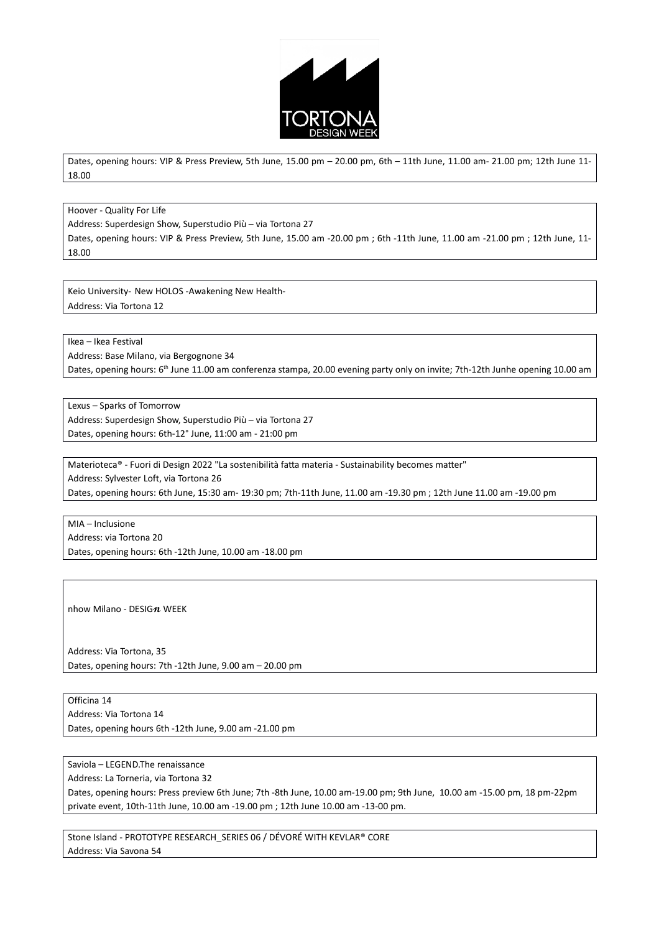

Dates, opening hours: VIP & Press Preview, 5th June, 15.00 pm – 20.00 pm, 6th – 11th June, 11.00 am- 21.00 pm; 12th June 11- 18.00

Hoover - Quality For Life

Address: Superdesign Show, Superstudio Più – via Tortona 27

Dates, opening hours: VIP & Press Preview, 5th June, 15.00 am -20.00 pm ; 6th -11th June, 11.00 am -21.00 pm ; 12th June, 11- 18.00

Keio University- New HOLOS -Awakening New Health-Address: Via Tortona 12

Ikea – Ikea Festival

Address: Base Milano, via Bergognone 34

Dates, opening hours: 6<sup>th</sup> June 11.00 am conferenza stampa, 20.00 evening party only on invite; 7th-12th Junhe opening 10.00 am

Lexus – Sparks of Tomorrow Address: Superdesign Show, Superstudio Più – via Tortona 27 Dates, opening hours: 6th-12° June, 11:00 am - 21:00 pm

Materioteca® - Fuori di Design 2022 "La sostenibilità fatta materia - Sustainability becomes matter" Address: Sylvester Loft, via Tortona 26 Dates, opening hours: 6th June, 15:30 am- 19:30 pm; 7th-11th June, 11.00 am -19.30 pm ; 12th June 11.00 am -19.00 pm

MIA – Inclusione Address: via Tortona 20 Dates, opening hours: 6th -12th June, 10.00 am -18.00 pm

nhow Milano - DESIG $n$  WEEK

Address: Via Tortona, 35 Dates, opening hours: 7th -12th June, 9.00 am – 20.00 pm

Officina 14 Address: Via Tortona 14 Dates, opening hours 6th -12th June, 9.00 am -21.00 pm

Saviola – LEGEND.The renaissance

Address: La Torneria, via Tortona 32

Dates, opening hours: Press preview 6th June; 7th -8th June, 10.00 am-19.00 pm; 9th June, 10.00 am -15.00 pm, 18 pm-22pm private event, 10th-11th June, 10.00 am -19.00 pm ; 12th June 10.00 am -13-00 pm.

Stone Island - PROTOTYPE RESEARCH\_SERIES 06 / DÉVORÉ WITH KEVLAR® CORE Address: Via Savona 54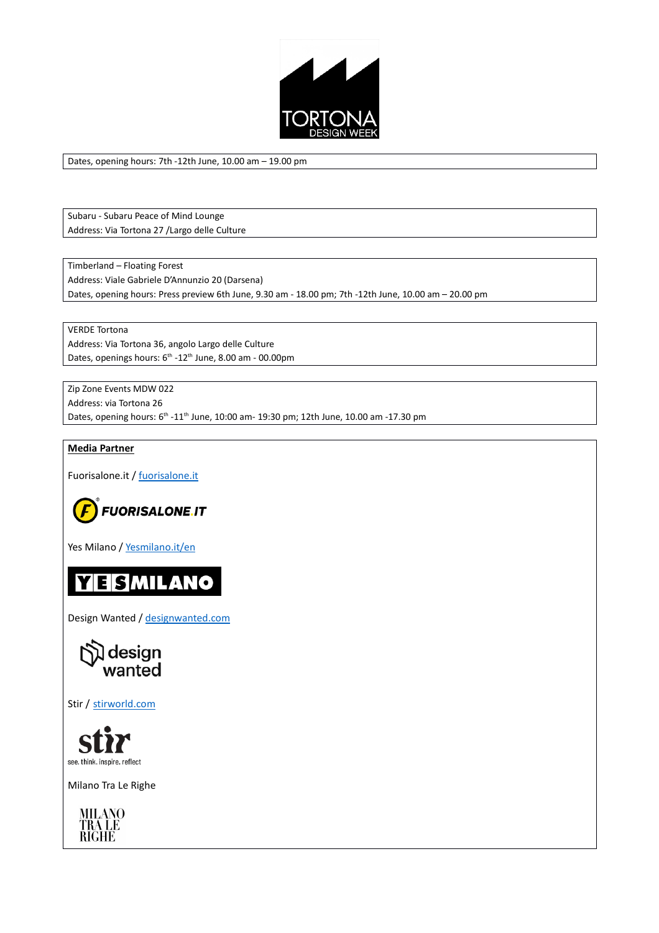

Dates, opening hours: 7th -12th June, 10.00 am – 19.00 pm

Subaru - Subaru Peace of Mind Lounge Address: Via Tortona 27 /Largo delle Culture

Timberland – Floating Forest Address: Viale Gabriele D'Annunzio 20 (Darsena) Dates, opening hours: Press preview 6th June, 9.30 am - 18.00 pm; 7th -12th June, 10.00 am – 20.00 pm

VERDE Tortona Address: Via Tortona 36, angolo Largo delle Culture Dates, openings hours:  $6^{th}$  -12<sup>th</sup> June, 8.00 am - 00.00pm

Zip Zone Events MDW 022 Address: via Tortona 26 Dates, opening hours: 6<sup>th</sup> -11<sup>th</sup> June, 10:00 am- 19:30 pm; 12th June, 10.00 am -17.30 pm

### **Media Partner**

Fuorisalone.it / fuorisalone.it



Yes Milano / Yesmilano.it/en



Design Wanted / designwanted.com



Stir / stirworld.com



Milano Tra Le Righe